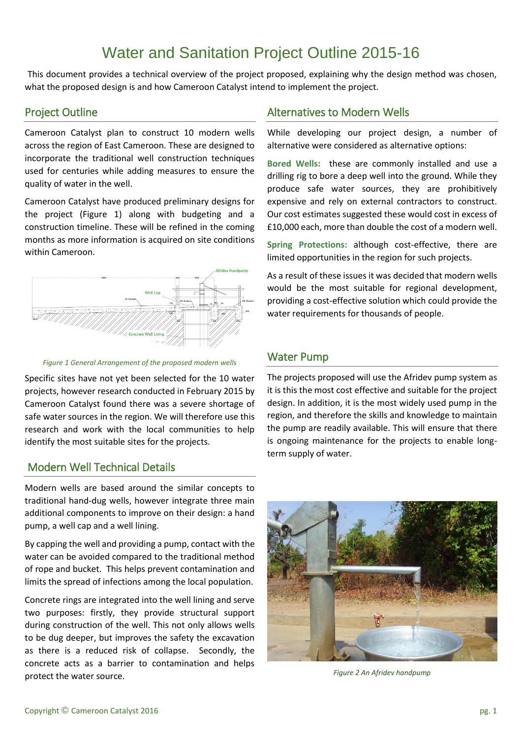# Water and Sanitation Project Outline 2015-16

This document provides a technical overview of the project proposed, explaining why the design method was chosen, what the proposed design is and how Cameroon Catalyst intend to implement the project.

## Project Outline

Cameroon Catalyst plan to construct 10 modern wells across the region of East Cameroon. These are designed to incorporate the traditional well construction techniques used for centuries while adding measures to ensure the quality of water in the well.

Cameroon Catalyst have produced preliminary designs for the project (Figure 1) along with budgeting and a construction timeline. These will be refined in the coming months as more information is acquired on site conditions within Cameroon.





Specific sites have not yet been selected for the 10 water projects, however research conducted in February 2015 by Cameroon Catalyst found there was a severe shortage of safe water sources in the region. We will therefore use this research and work with the local communities to help identify the most suitable sites for the projects.

# Modern Well Technical Details

Modern wells are based around the similar concepts to traditional hand-dug wells, however integrate three main additional components to improve on their design: a hand pump, a well cap and a well lining.

By capping the well and providing a pump, contact with the water can be avoided compared to the traditional method of rope and bucket. This helps prevent contamination and limits the spread of infections among the local population.

Concrete rings are integrated into the well lining and serve two purposes: firstly, they provide structural support during construction of the well. This not only allows wells to be dug deeper, but improves the safety the excavation as there is a reduced risk of collapse. Secondly, the concrete acts as a barrier to contamination and helps protect the water source.

# Alternatives to Modern Wells

While developing our project design, a number of alternative were considered as alternative options:

**Bored Wells:** these are commonly installed and use a drilling rig to bore a deep well into the ground. While they produce safe water sources, they are prohibitively expensive and rely on external contractors to construct. Our cost estimates suggested these would cost in excess of £10,000 each, more than double the cost of a modern well.

**Spring Protections:** although cost-effective, there are limited opportunities in the region for such projects.

As a result of these issues it was decided that modern wells would be the most suitable for regional development, providing a cost-effective solution which could provide the water requirements for thousands of people.

# Water Pump

The projects proposed will use the Afridev pump system as it is this the most cost effective and suitable for the project design. In addition, it is the most widely used pump in the region, and therefore the skills and knowledge to maintain the pump are readily available. This will ensure that there is ongoing maintenance for the projects to enable longterm supply of water.



*Figure 2 An Afridev handpump*